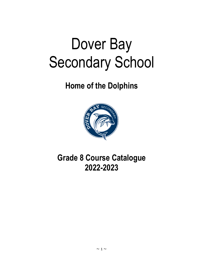# Dover Bay Secondary School

# **Home of the Dolphins**



# **Grade 8 Course Catalogue 2022-2023**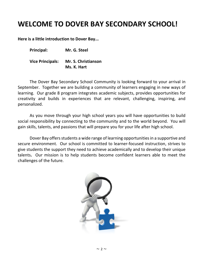# **WELCOME TO DOVER BAY SECONDARY SCHOOL!**

**Here is a little introduction to Dover Bay...**

**Principal: Mr. G. Steel**

**Vice Principals: Mr. S. Christianson Ms. K. Hart**

The Dover Bay Secondary School Community is looking forward to your arrival in September. Together we are building a community of learners engaging in new ways of learning. Our grade 8 program integrates academic subjects, provides opportunities for creativity and builds in experiences that are relevant, challenging, inspiring, and personalized.

As you move through your high school years you will have opportunities to build social responsibility by connecting to the community and to the world beyond. You will gain skills, talents, and passions that will prepare you for your life after high school.

Dover Bay offers students a wide range of learning opportunities in a supportive and secure environment. Our school is committed to learner-focused instruction, strives to give students the support they need to achieve academically and to develop their unique talents**.** Our mission is to help students become confident learners able to meet the challenges of the future.

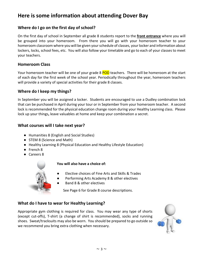# **Here is some information about attending Dover Bay**

# **Where do I go on the first day of school?**

On the first day of school in September all grade 8 students report to the **front entrance** where you will be grouped into your homeroom. From there you will go with your homeroom teacher to your homeroom classroom where you will be given your schedule of classes, your locker and information about lockers, locks, school fees, etc. You will also follow your timetable and go to each of your classes to meet your teachers.

## **Homeroom Class**

Your homeroom teacher will be one of your grade 8 POD teachers. There will be homeroom at the start of each day for the first week of the school year. Periodically throughout the year, homeroom teachers will provide a variety of special activities for their grade 8 classes.

# **Where do I keep my things?**

In September you will be assigned a locker. Students are encouraged to use a Dudley combination lock that can be purchased in April during your tour or in September from your homeroom teacher. A second lock is recommended for the physical education change room during your Healthy Learning class. Please lock up your things**,** leave valuables at home and keep your combination a secret.

# **What courses will I take next year?**

- Humanities 8 (English and Social Studies)
- STEM 8 (Science and Math)
- Healthy Learning 8 (Physical Education and Healthy Lifestyle Education)
- French 8
- Careers 8



#### **You will also have a choice of:**

- Elective choices of Fine Arts and Skills & Trades
- Performing Arts Academy 8 & other electives
- Band 8 & other electives

See Page 6 for Grade 8 course descriptions.

# **What do I have to wear for Healthy Learning?**

Appropriate gym clothing is required for class. You may wear any type of shorts (except cut-offs), T-shirt (a change of shirt is recommended), socks and running shoes. Sweat/tracksuits may also be worn. You should be prepared to go outside so we recommend you bring extra clothing when necessary.

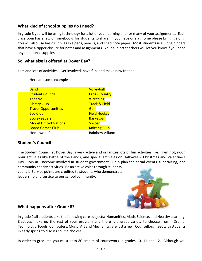# **What kind of school supplies do I need?**

In grade 8 you will be using technology for a lot of your learning and for many of your assignments. Each classroom has a few Chromebooks for students to share. If you have one at home please bring it along. You will also use basic supplies like pens, pencils, and lined note paper. Most students use 3 ring binders that have a zipper closure for notes and assignments. Your subject teachers will let you know if you need any additional supplies.

# **So, what else is offered at Dover Bay?**

Lots and lots of activities! Get involved, have fun, and make new friends.

Here are some examples:

| <b>Band</b>                 | Volleyball               |
|-----------------------------|--------------------------|
| <b>Student Council</b>      | <b>Cross Country</b>     |
| <b>Theatre</b>              | <b>Wrestling</b>         |
| <b>Library Club</b>         | <b>Track &amp; Field</b> |
| <b>Travel Opportunities</b> | Golf                     |
| <b>Eco Club</b>             | <b>Field Hockey</b>      |
| <b>Scorekeepers</b>         | <b>Basketball</b>        |
| <b>Model United Nations</b> | Soccer                   |
| <b>Board Games Club</b>     | <b>Knitting Club</b>     |
| Homework Club               | <b>Rainbow Alliance</b>  |
|                             |                          |

# **Student's Council**

The Student Council at Dover Bay is very active and organizes lots of fun activities like: gym riot, noon hour activities like Battle of the Bands, and special activities on Halloween, Christmas and Valentine's Day. Join in! Become involved in student government. Help plan the social events, fundraising, and community charity activities. Be an active voice through students'

council. Service points are credited to students who demonstrate leadership and service to our school community.



# **What happens after Grade 8?**

In grade 9 all students take the following core subjects: Humanities, Math, Science, and Healthy Learning. Electives make up the rest of your program and there is a great variety to choose from: Drama, Technology, Foods, Computers, Music, Art and Mechanics, are just a few. Counsellors meet with students in early spring to discuss course choices.

In order to graduate you must earn 80 credits of coursework in grades 10, 11 and 12. Although you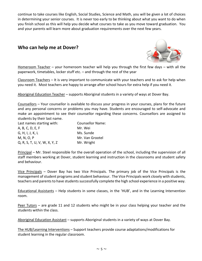continue to take courses like English, Social Studies, Science and Math, you will be given a lot of choices in determining your senior courses. It is never too early to be thinking about what you want to do when you finish school as this will help you decide what courses to take as you move toward graduation. You and your parents will learn more about graduation requirements over the next few years.

# **Who can help me at Dover?**



Homeroom Teacher - your homeroom teacher will help you through the first few days - with all the paperwork, timetables, locker stuff etc. – and through the rest of the year

Classroom Teachers – It is very important to communicate with your teachers and to ask for help when you need it. Most teachers are happy to arrange after school hours for extra help if you need it.

Aboriginal Education Teacher – supports Aboriginal students in a variety of ways at Dover Bay.

Counsellors – Your counsellor is available to discuss your progress in your courses, plans for the future and any personal concerns or problems you may have. Students are encouraged to self-advocate and make an appointment to see their counsellor regarding these concerns. Counsellors are assigned to students by their last name.

| Last names starting with:    | <b>Counsellor Name:</b> |
|------------------------------|-------------------------|
| A, B, C, D, E, F             | Mr. Wei                 |
| G, H, I, J, K, L             | Ms. Sunde               |
| M, N, O, P                   | Mr. Van Grootel         |
| Q, R, S, T, U, V, W, X, Y, Z | Mr. Wright              |

Principal – Mr. Steel responsible for the overall operation of the school, including the supervision of all staff members working at Dover, student learning and instruction in the classrooms and student safety and behaviour.

Vice Principals – Dover Bay has two Vice Principals. The primary job of the Vice Principals is the management of student programs and student behaviour. The Vice Principals work closely with students, teachers and parents to have students successfully complete the high school experience in a positive way.

Educational Assistants – Help students in some classes, in the 'HUB', and in the Learning Intervention room.

Peer Tutors - are grade 11 and 12 students who might be in your class helping your teacher and the students within the class.

Aboriginal Education Assistant – supports Aboriginal students in a variety of ways at Dover Bay.

The HUB/Learning Interventions – Support teachers provide course adaptations/modifications for student learning in the regular classroom.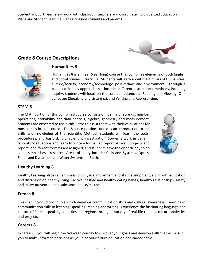Student Support Teachers – work with classroom teachers and coordinate Individualized Education Plans and Student Learning Plans alongside students and parents.

# **Grade 8 Course Descriptions**





# **Humanities 8**

Humanities 8 is a linear (year long) course that combines elements of both English and Social Studies 8 curricula. Students will learn about the 4 pillars of Humanities: culture/society, economy/technology, politics/law, and environment. Through a balanced literacy approach that includes different instructional methods, including inquiry, students will focus on the core competencies: Reading and Viewing, Oral Language (Speaking and Listening), and Writing and Representing.

## **STEM 8**

The Math portion of this combined course consists of five major strands: number operations, probability and data analysis, algebra, geometry and measurement. Students are expected to use a calculator to assist them with their calculations for most topics in this course. The Science portion course is an introduction to the skills and knowledge of the Scientific Method. Students will learn the tools, procedures, and basic skills of scientific investigation. Students work in pairs in laboratory situations and learn to write a formal lab report. As well, projects and reports of different formats are assigned, and students have the opportunity to do some simple basic research. Areas of study include: Cells and Systems, Optics, Fluids and Dynamics, and Water Systems on Earth.



# **Healthy Learning 8**

Healthy Learning places an emphasis on physical movement and skill development, along with education and discussion on healthy living – active lifestyle and healthy eating habits, healthy relationships, safety and injury prevention and substance abuse/misuse.

## **French 8**

This is an introductory course which develops communication skills and cultural awareness. Learn basic communication skills in listening, speaking, reading and writing. Experience the fascinating language and culture of French speaking countries and regions through a variety of real-life themes, cultural activities and projects.

## **Careers 8**

In careers 8 you will begin the five-year journey to discover your goals and develop skills that will assist you to make informed decisions as you plan your future education and career paths.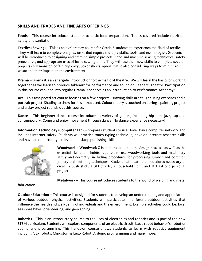# **SKILLS AND TRADES AND FINE ARTS OFFERINGS**

**Foods** – This course introduces students to basic food preparation. Topics covered include nutrition, safety and sanitation.

**Textiles (Sewing)** – This is an exploratory course for Grade 8 students to experience the field of textiles. They will learn to complete complex tasks that require multiple skills, tools, and technologies. Students will be introduced to designing and creating simple projects; hand and machine sewing techniques; safety procedures; and appropriate uses of basic sewing tools. They will use their new skills to complete several projects (felt monster, coffee cup cozy, boxer shorts, apron) while also considering ways to minimize waste and their impact on the environment.

**Drama** – Drama 8 is an energetic introduction to the magic of theatre. We will learn the basics of working together as we learn to produce tableaux for performance and touch on Readers' Theatre. Participation in this course can lead into regular Drama 9 or serve as an introduction to Performance Academy 9.

**Art** – This fast-paced art course focuses on a few projects. Drawing skills are taught using exercises and a portrait project. Shading to show form is introduced. Colour theory is touched on during a painting project and a clay project rounds out this course.

**Dance** – This beginner dance course introduces a variety of genres, including hip hop, jazz, tap and contemporary. Come and enjoy movement through dance. No dance experience necessary!

**Information Technology** (**Computer Lab**) – prepares students to use Dover Bay's computer network and includes Internet safety. Students will practice touch typing technique, develop internet research skills and have an opportunity to develop desktop publishing skills.



**Woodwork –** Woodwork 8 is an introduction to the design process, as well as the essential skills and habits required to use woodworking tools and machinery safely and correctly, including procedures for processing lumber and common joinery and finishing techniques. Students will learn the procedures necessary to create a push stick, a 3D puzzle, a household item, and at least one personal project.

fabrication.

**Metalwork –** This course introduces students to the world of welding and metal

**Outdoor Education –** This course is designed for students to develop an understanding and appreciation of various outdoor physical activities. Students will participate in different outdoor activities that influence the health and well-being of individuals and the environment. Example activities could be: local seashore hikes, orienteering, and geocaching.

**Robotics –** This is an introductory course to the uses of electronics and robotics and is part of the new STEM curriculum. Students will explore components of an electric circuit, basic robot behavior's, robotics coding and programming. This hands-on course allows students to learn with robotics equipment including VEX robots, Mindstorms Lego Robot, Arduino programming and many more.